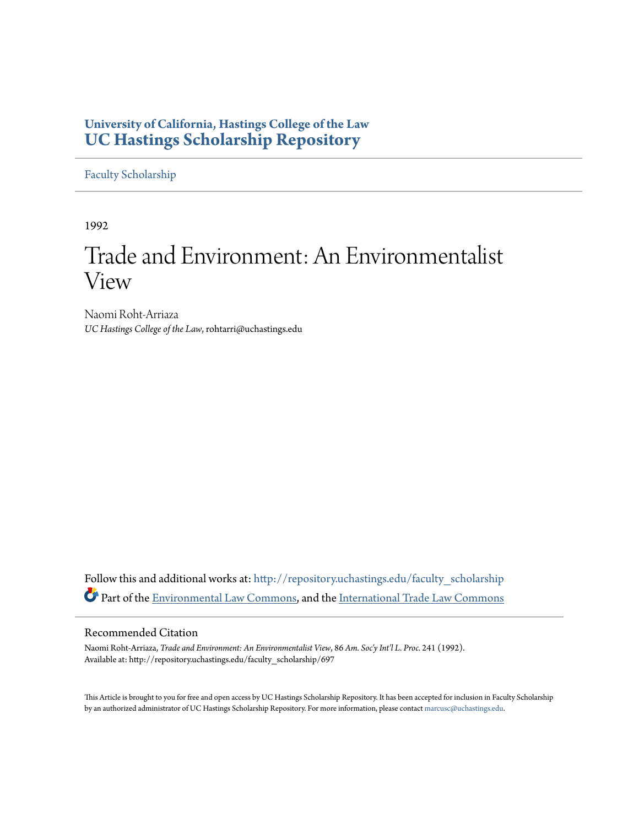## **University of California, Hastings College of the Law [UC Hastings Scholarship Repository](http://repository.uchastings.edu?utm_source=repository.uchastings.edu%2Ffaculty_scholarship%2F697&utm_medium=PDF&utm_campaign=PDFCoverPages)**

[Faculty Scholarship](http://repository.uchastings.edu/faculty_scholarship?utm_source=repository.uchastings.edu%2Ffaculty_scholarship%2F697&utm_medium=PDF&utm_campaign=PDFCoverPages)

1992

# Trade and Environment: An Environmentalist View

Naomi Roht-Arriaza *UC Hastings College of the Law*, rohtarri@uchastings.edu

Follow this and additional works at: [http://repository.uchastings.edu/faculty\\_scholarship](http://repository.uchastings.edu/faculty_scholarship?utm_source=repository.uchastings.edu%2Ffaculty_scholarship%2F697&utm_medium=PDF&utm_campaign=PDFCoverPages) Part of the [Environmental Law Commons](http://network.bepress.com/hgg/discipline/599?utm_source=repository.uchastings.edu%2Ffaculty_scholarship%2F697&utm_medium=PDF&utm_campaign=PDFCoverPages), and the [International Trade Law Commons](http://network.bepress.com/hgg/discipline/848?utm_source=repository.uchastings.edu%2Ffaculty_scholarship%2F697&utm_medium=PDF&utm_campaign=PDFCoverPages)

### Recommended Citation

Naomi Roht-Arriaza, *Trade and Environment: An Environmentalist View*, 86 *Am. Soc'y Int'l L. Proc.* 241 (1992). Available at: http://repository.uchastings.edu/faculty\_scholarship/697

This Article is brought to you for free and open access by UC Hastings Scholarship Repository. It has been accepted for inclusion in Faculty Scholarship by an authorized administrator of UC Hastings Scholarship Repository. For more information, please contact [marcusc@uchastings.edu](mailto:marcusc@uchastings.edu).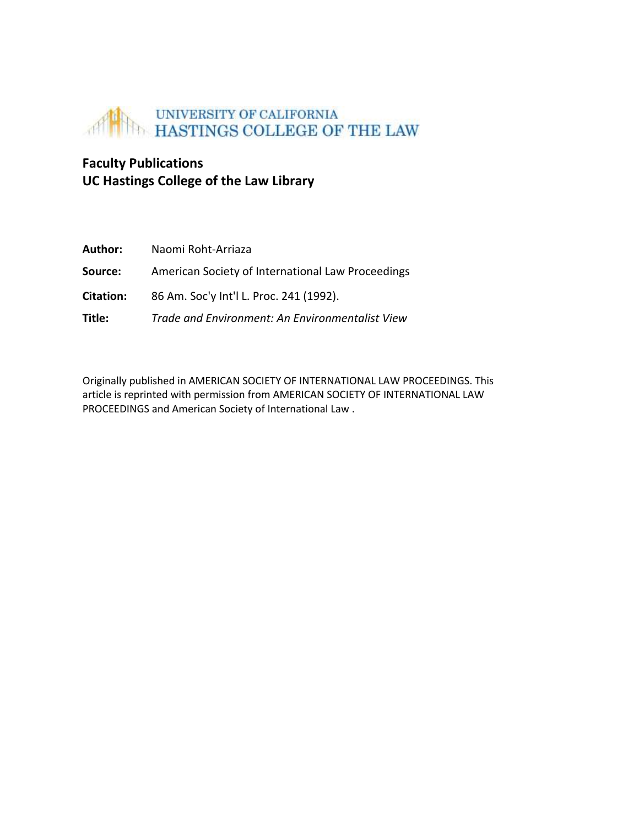

## **Faculty Publications UC Hastings College of the Law Library**

| Author:   | Naomi Roht-Arriaza                                |
|-----------|---------------------------------------------------|
| Source:   | American Society of International Law Proceedings |
| Citation: | 86 Am. Soc'y Int'l L. Proc. 241 (1992).           |
| Title:    | Trade and Environment: An Environmentalist View   |

Originally published in AMERICAN SOCIETY OF INTERNATIONAL LAW PROCEEDINGS. This article is reprinted with permission from AMERICAN SOCIETY OF INTERNATIONAL LAW PROCEEDINGS and American Society of International Law .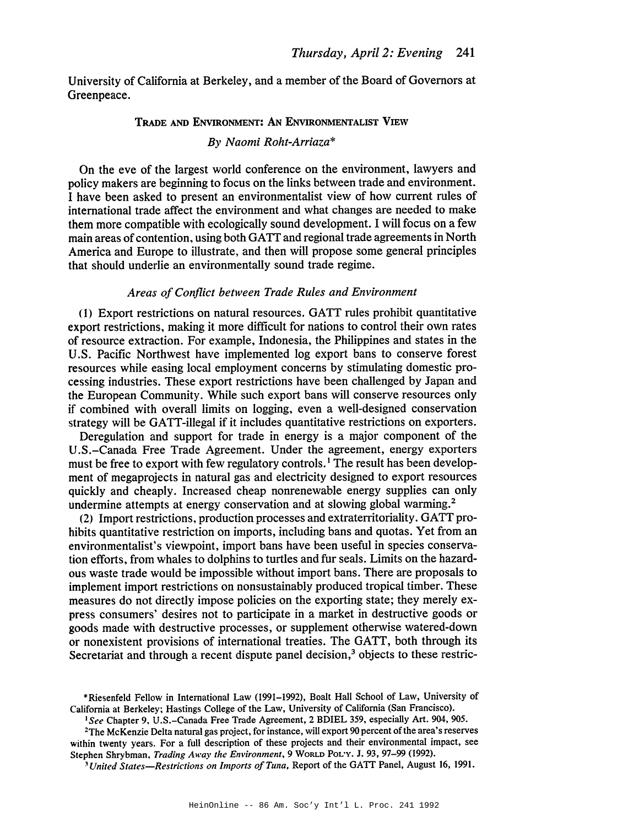University of California at Berkeley, and a member of the Board of Governors at Greenpeace.

#### TRADE AND ENVIRONMENT: AN ENVIRONMENTALIST VIEW

#### By Naomi Roht-Arriaza\*

On the eve of the largest world conference on the environment, lawyers and policy makers are beginning to focus on the links between trade and environment. I have been asked to present an environmentalist view of how current rules of international trade affect the environment and what changes are needed to make them more compatible with ecologically sound development. I will focus on a few main areas of contention, using both GATT and regional trade agreements in North America and Europe to illustrate, and then will propose some general principles that should underlie an environmentally sound trade regime.

#### Areas of Conflict between Trade Rules and Environment

(1) Export restrictions on natural resources. GATT rules prohibit quantitative export restrictions, making it more difficult for nations to control their own rates of resource extraction. For example, Indonesia, the Philippines and states in the U.S. Pacific Northwest have implemented log export bans to conserve forest resources while easing local employment concerns by stimulating domestic processing industries. These export restrictions have been challenged by Japan and the European Community. While such export bans will conserve resources only if combined with overall limits on logging, even a well-designed conservation strategy will be GATT-illegal if it includes quantitative restrictions on exporters.

Deregulation and support for trade in energy is a major component of the U.S.-Canada Free Trade Agreement. Under the agreement, energy exporters must be free to export with few regulatory controls.<sup>1</sup> The result has been development of megaprojects in natural gas and electricity designed to export resources quickly and cheaply. Increased cheap nonrenewable energy supplies can only undermine attempts at energy conservation and at slowing global warming.<sup>2</sup>

(2) Import restrictions, production processes and extraterritoriality. GATT prohibits quantitative restriction on imports, including bans and quotas. Yet from an environmentalist's viewpoint, import bans have been useful in species conservation efforts, from whales to dolphins to turtles and fur seals. Limits on the hazardous waste trade would be impossible without import bans. There are proposals to implement import restrictions on nonsustainably produced tropical timber. These measures do not directly impose policies on the exporting state; they merely express consumers' desires not to participate in a market in destructive goods or goods made with destructive processes, or supplement otherwise watered-down or nonexistent provisions of international treaties. The GATT, both through its Secretariat and through a recent dispute panel decision,<sup>3</sup> objects to these restric-

<sup>\*</sup>Riesenfeld Fellow in International Law (1991-1992), Boalt Hall School of Law, University of California at Berkelev: Hastings College of the Law, University of California (San Francisco).

<sup>&</sup>lt;sup>1</sup>See Chapter 9, U.S.-Canada Free Trade Agreement, 2 BDIEL 359, especially Art. 904, 905.

<sup>&</sup>lt;sup>2</sup>The McKenzie Delta natural gas project, for instance, will export 90 percent of the area's reserves within twenty years. For a full description of these projects and their environmental impact, see Stephen Shrybman, Trading Away the Environment, 9 WORLD POL'Y. J. 93, 97-99 (1992).

<sup>&</sup>lt;sup>3</sup>United States—Restrictions on Imports of Tuna, Report of the GATT Panel, August 16, 1991.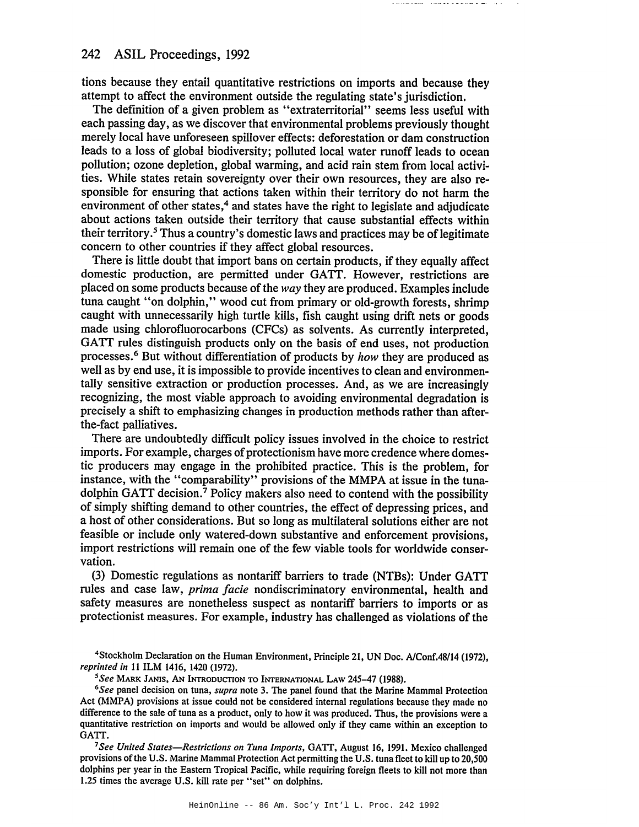#### 242 ASIL Proceedings, 1992

tions because they entail quantitative restrictions on imports and because they attempt to affect the environment outside the regulating state's jurisdiction.

The definition of a given problem as "extraterritorial" seems less useful with each passing day, as we discover that environmental problems previously thought merely local have unforeseen spillover effects: deforestation or dam construction leads to a loss of global biodiversity; polluted local water runoff leads to ocean pollution; ozone depletion, global warming, and acid rain stem from local activities. While states retain sovereignty over their own resources, they are also responsible for ensuring that actions taken within their territory do not harm the environment of other states,<sup>4</sup> and states have the right to legislate and adjudicate about actions taken outside their territory that cause substantial effects within their territory.<sup>5</sup> Thus a country's domestic laws and practices may be of legitimate concern to other countries if they affect global resources.

There is little doubt that import bans on certain products, if they equally affect domestic production, are permitted under GATT. However, restrictions are placed on some products because of the way they are produced. Examples include tuna caught "on dolphin," wood cut from primary or old-growth forests, shrimp caught with unnecessarily high turtle kills, fish caught using drift nets or goods made using chlorofluorocarbons (CFCs) as solvents. As currently interpreted. GATT rules distinguish products only on the basis of end uses, not production processes.<sup>6</sup> But without differentiation of products by how they are produced as well as by end use, it is impossible to provide incentives to clean and environmentally sensitive extraction or production processes. And, as we are increasingly recognizing, the most viable approach to avoiding environmental degradation is precisely a shift to emphasizing changes in production methods rather than afterthe-fact palliatives.

There are undoubtedly difficult policy issues involved in the choice to restrict imports. For example, charges of protectionism have more credence where domestic producers may engage in the prohibited practice. This is the problem, for instance, with the "comparability" provisions of the MMPA at issue in the tunadolphin GATT decision.<sup>7</sup> Policy makers also need to contend with the possibility of simply shifting demand to other countries, the effect of depressing prices, and a host of other considerations. But so long as multilateral solutions either are not feasible or include only watered-down substantive and enforcement provisions, import restrictions will remain one of the few viable tools for worldwide conservation.

(3) Domestic regulations as nontariff barriers to trade (NTBs): Under GATT rules and case law, *prima facie* nondiscriminatory environmental, health and safety measures are nonetheless suspect as nontariff barriers to imports or as protectionist measures. For example, industry has challenged as violations of the

<sup>4</sup>Stockholm Declaration on the Human Environment, Principle 21, UN Doc. A/Conf.48/14 (1972), reprinted in 11 ILM 1416, 1420 (1972).

<sup>5</sup>See MARK JANIS, AN INTRODUCTION TO INTERNATIONAL LAW 245-47 (1988).

<sup>6</sup>See panel decision on tuna, *supra* note 3. The panel found that the Marine Mammal Protection Act (MMPA) provisions at issue could not be considered internal regulations because they made no difference to the sale of tuna as a product, only to how it was produced. Thus, the provisions were a quantitative restriction on imports and would be allowed only if they came within an exception to GATT.

<sup>7</sup>See United States—Restrictions on Tuna Imports, GATT, August 16, 1991. Mexico challenged provisions of the U.S. Marine Mammal Protection Act permitting the U.S. tuna fleet to kill up to 20,500 dolphins per year in the Eastern Tropical Pacific, while requiring foreign fleets to kill not more than 1.25 times the average U.S. kill rate per "set" on dolphins.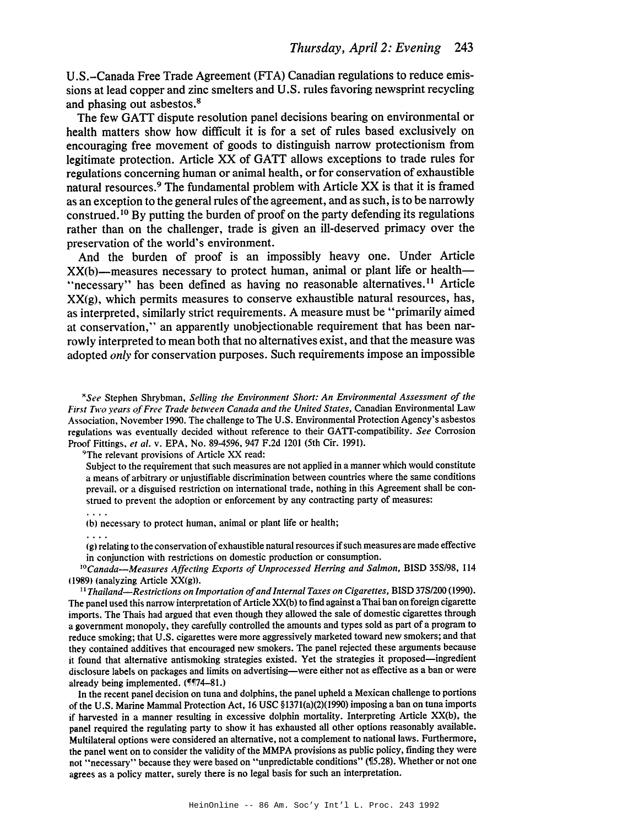U.S.-Canada Free Trade Agreement (FTA) Canadian regulations to reduce emissions at lead copper and zinc smelters and U.S. rules favoring newsprint recycling and phasing out asbestos.<sup>8</sup>

The few GATT dispute resolution panel decisions bearing on environmental or health matters show how difficult it is for a set of rules based exclusively on encouraging free movement of goods to distinguish narrow protectionism from legitimate protection. Article XX of GATT allows exceptions to trade rules for regulations concerning human or animal health, or for conservation of exhaustible natural resources.<sup>9</sup> The fundamental problem with Article XX is that it is framed as an exception to the general rules of the agreement, and as such, is to be narrowly construed.<sup>10</sup> By putting the burden of proof on the party defending its regulations rather than on the challenger, trade is given an ill-deserved primacy over the preservation of the world's environment.

And the burden of proof is an impossibly heavy one. Under Article XX(b)—measures necessary to protect human, animal or plant life or health— "necessary" has been defined as having no reasonable alternatives.<sup>11</sup> Article XX(g), which permits measures to conserve exhaustible natural resources, has, as interpreted, similarly strict requirements. A measure must be "primarily aimed at conservation," an apparently unobjectionable requirement that has been narrowly interpreted to mean both that no alternatives exist, and that the measure was adopted *only* for conservation purposes. Such requirements impose an impossible

\*See Stephen Shrybman, Selling the Environment Short: An Environmental Assessment of the First Two years of Free Trade between Canada and the United States, Canadian Environmental Law Association, November 1990. The challenge to The U.S. Environmental Protection Agency's asbestos regulations was eventually decided without reference to their GATT-compatibility. See Corrosion Proof Fittings, et al. v. EPA, No. 89-4596, 947 F.2d 1201 (5th Cir. 1991).

<sup>9</sup>The relevant provisions of Article XX read:

Subject to the requirement that such measures are not applied in a manner which would constitute a means of arbitrary or unjustifiable discrimination between countries where the same conditions prevail, or a disguised restriction on international trade, nothing in this Agreement shall be construed to prevent the adoption or enforcement by any contracting party of measures:

(b) necessary to protect human, animal or plant life or health;

 $\ldots$  .

 $\ldots$  .

(g) relating to the conservation of exhaustible natural resources if such measures are made effective in conjunction with restrictions on domestic production or consumption.

<sup>10</sup>Canada-Measures Affecting Exports of Unprocessed Herring and Salmon, BISD 35S/98, 114 (1989) (analyzing Article XX(g)).

<sup>11</sup> Thailand—Restrictions on Importation of and Internal Taxes on Cigarettes, BISD 37S/200 (1990). The panel used this narrow interpretation of Article XX(b) to find against a Thai ban on foreign cigarette imports. The Thais had argued that even though they allowed the sale of domestic cigarettes through a government monopoly, they carefully controlled the amounts and types sold as part of a program to reduce smoking; that U.S. cigarettes were more aggressively marketed toward new smokers; and that they contained additives that encouraged new smokers. The panel rejected these arguments because it found that alternative antismoking strategies existed. Yet the strategies it proposed—ingredient disclosure labels on packages and limits on advertising—were either not as effective as a ban or were already being implemented. (¶174-81.)

In the recent panel decision on tuna and dolphins, the panel upheld a Mexican challenge to portions of the U.S. Marine Mammal Protection Act, 16 USC §1371(a)(2)(1990) imposing a ban on tuna imports if harvested in a manner resulting in excessive dolphin mortality. Interpreting Article XX(b), the panel required the regulating party to show it has exhausted all other options reasonably available. Multilateral options were considered an alternative, not a complement to national laws. Furthermore, the panel went on to consider the validity of the MMPA provisions as public policy, finding they were not "necessary" because they were based on "unpredictable conditions" (¶5.28). Whether or not one agrees as a policy matter, surely there is no legal basis for such an interpretation.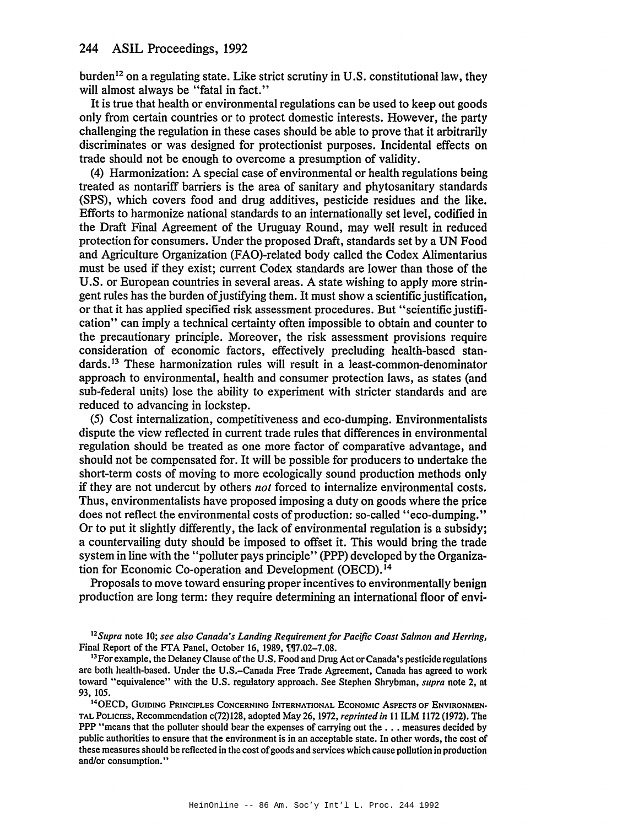burden<sup>12</sup> on a regulating state. Like strict scrutiny in U.S. constitutional law, they will almost always be "fatal in fact."

It is true that health or environmental regulations can be used to keep out goods only from certain countries or to protect domestic interests. However, the party challenging the regulation in these cases should be able to prove that it arbitrarily discriminates or was designed for protectionist purposes. Incidental effects on trade should not be enough to overcome a presumption of validity.

(4) Harmonization: A special case of environmental or health regulations being treated as nontariff barriers is the area of sanitary and phytosanitary standards (SPS), which covers food and drug additives, pesticide residues and the like. Efforts to harmonize national standards to an internationally set level, codified in the Draft Final Agreement of the Uruguay Round, may well result in reduced protection for consumers. Under the proposed Draft, standards set by a UN Food and Agriculture Organization (FAO)-related body called the Codex Alimentarius must be used if they exist; current Codex standards are lower than those of the U.S. or European countries in several areas. A state wishing to apply more stringent rules has the burden of justifying them. It must show a scientific justification, or that it has applied specified risk assessment procedures. But "scientific justification" can imply a technical certainty often impossible to obtain and counter to the precautionary principle. Moreover, the risk assessment provisions require consideration of economic factors, effectively precluding health-based standards.<sup>13</sup> These harmonization rules will result in a least-common-denominator approach to environmental, health and consumer protection laws, as states (and sub-federal units) lose the ability to experiment with stricter standards and are reduced to advancing in lockstep.

(5) Cost internalization, competitiveness and eco-dumping. Environmentalists dispute the view reflected in current trade rules that differences in environmental regulation should be treated as one more factor of comparative advantage, and should not be compensated for. It will be possible for producers to undertake the short-term costs of moving to more ecologically sound production methods only if they are not undercut by others *not* forced to internalize environmental costs. Thus, environmentalists have proposed imposing a duty on goods where the price does not reflect the environmental costs of production: so-called "eco-dumping." Or to put it slightly differently, the lack of environmental regulation is a subsidy; a countervailing duty should be imposed to offset it. This would bring the trade system in line with the "polluter pays principle" (PPP) developed by the Organization for Economic Co-operation and Development (OECD).<sup>14</sup>

Proposals to move toward ensuring proper incentives to environmentally benign production are long term: they require determining an international floor of envi-

<sup>14</sup>OECD, GUIDING PRINCIPLES CONCERNING INTERNATIONAL ECONOMIC ASPECTS OF ENVIRONMEN-TAL POLICIES, Recommendation c(72)128, adopted May 26, 1972, reprinted in 11 ILM 1172 (1972). The PPP "means that the polluter should bear the expenses of carrying out the . . . measures decided by public authorities to ensure that the environment is in an acceptable state. In other words, the cost of these measures should be reflected in the cost of goods and services which cause pollution in production and/or consumption."

<sup>&</sup>lt;sup>12</sup>Supra note 10; see also Canada's Landing Requirement for Pacific Coast Salmon and Herring, Final Report of the FTA Panel, October 16, 1989, ¶¶7.02-7.08.

<sup>&</sup>lt;sup>13</sup> For example, the Delaney Clause of the U.S. Food and Drug Act or Canada's pesticide regulations are both health-based. Under the U.S.-Canada Free Trade Agreement, Canada has agreed to work toward "equivalence" with the U.S. regulatory approach. See Stephen Shrybman, *supra* note 2, at 93, 105.